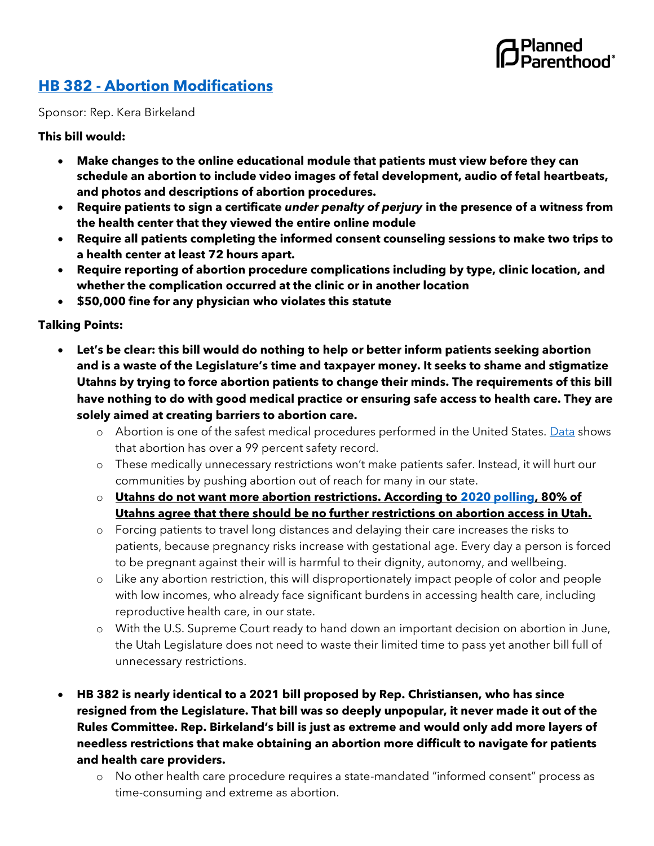## **HB 382 - [Abortion Modifications](https://le.utah.gov/~2022/bills/static/HB0382.html)**

Sponsor: Rep. Kera Birkeland

## **This bill would:**

- **Make changes to the online educational module that patients must view before they can schedule an abortion to include video images of fetal development, audio of fetal heartbeats, and photos and descriptions of abortion procedures.**
- **Require patients to sign a certificate** *under penalty of perjury* **in the presence of a witness from the health center that they viewed the entire online module**
- **Require all patients completing the informed consent counseling sessions to make two trips to a health center at least 72 hours apart.**
- **Require reporting of abortion procedure complications including by type, clinic location, and whether the complication occurred at the clinic or in another location**
- **\$50,000 fine for any physician who violates this statute**

**Talking Points:**

- **Let's be clear: this bill would do nothing to help or better inform patients seeking abortion and is a waste of the Legislature's time and taxpayer money. It seeks to shame and stigmatize Utahns by trying to force abortion patients to change their minds. The requirements of this bill have nothing to do with good medical practice or ensuring safe access to health care. They are solely aimed at creating barriers to abortion care.** 
	- o Abortion is one of the safest medical procedures performed in the United States. [Data](https://pubmed.ncbi.nlm.nih.gov/22270271/) shows that abortion has over a 99 percent safety record.
	- o These medically unnecessary restrictions won't make patients safer. Instead, it will hurt our communities by pushing abortion out of reach for many in our state.
	- o **Utahns do not want more abortion restrictions. According to [2020 polling,](https://www.plannedparenthood.org/planned-parenthood-utah/polling) 80% of Utahns agree that there should be no further restrictions on abortion access in Utah.**
	- o Forcing patients to travel long distances and delaying their care increases the risks to patients, because pregnancy risks increase with gestational age. Every day a person is forced to be pregnant against their will is harmful to their dignity, autonomy, and wellbeing.
	- o Like any abortion restriction, this will disproportionately impact people of color and people with low incomes, who already face significant burdens in accessing health care, including reproductive health care, in our state.
	- o With the U.S. Supreme Court ready to hand down an important decision on abortion in June, the Utah Legislature does not need to waste their limited time to pass yet another bill full of unnecessary restrictions.
- **HB 382 is nearly identical to a 2021 bill proposed by Rep. Christiansen, who has since resigned from the Legislature. That bill was so deeply unpopular, it never made it out of the Rules Committee. Rep. Birkeland's bill is just as extreme and would only add more layers of needless restrictions that make obtaining an abortion more difficult to navigate for patients and health care providers.** 
	- o No other health care procedure requires a state-mandated "informed consent" process as time-consuming and extreme as abortion.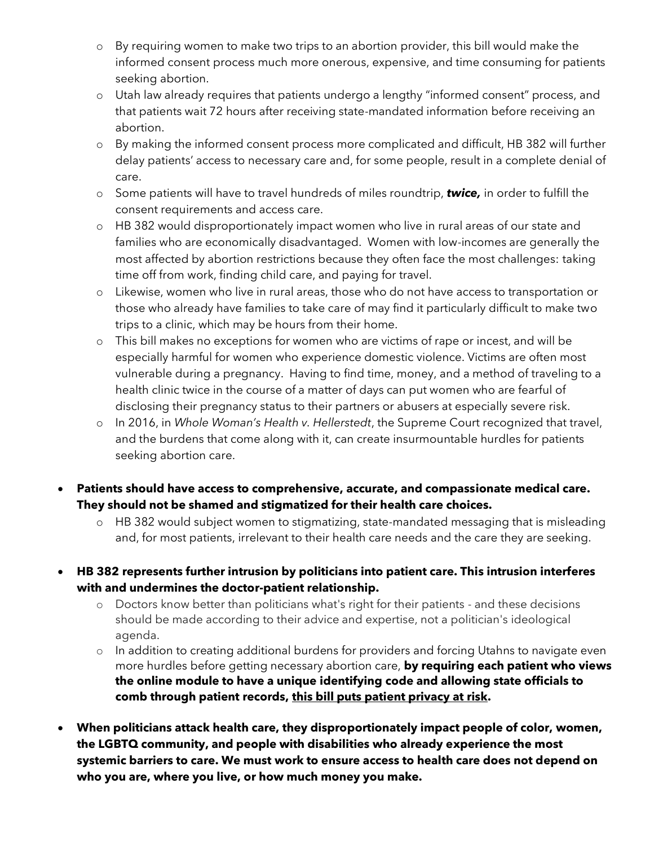- o By requiring women to make two trips to an abortion provider, this bill would make the informed consent process much more onerous, expensive, and time consuming for patients seeking abortion.
- o Utah law already requires that patients undergo a lengthy "informed consent" process, and that patients wait 72 hours after receiving state-mandated information before receiving an abortion.
- o By making the informed consent process more complicated and difficult, HB 382 will further delay patients' access to necessary care and, for some people, result in a complete denial of care.
- o Some patients will have to travel hundreds of miles roundtrip, *twice,* in order to fulfill the consent requirements and access care.
- o HB 382 would disproportionately impact women who live in rural areas of our state and families who are economically disadvantaged. Women with low-incomes are generally the most affected by abortion restrictions because they often face the most challenges: taking time off from work, finding child care, and paying for travel.
- o Likewise, women who live in rural areas, those who do not have access to transportation or those who already have families to take care of may find it particularly difficult to make two trips to a clinic, which may be hours from their home.
- o This bill makes no exceptions for women who are victims of rape or incest, and will be especially harmful for women who experience domestic violence. Victims are often most vulnerable during a pregnancy. Having to find time, money, and a method of traveling to a health clinic twice in the course of a matter of days can put women who are fearful of disclosing their pregnancy status to their partners or abusers at especially severe risk.
- o In 2016, in *Whole Woman's Health v. Hellerstedt*, the Supreme Court recognized that travel, and the burdens that come along with it, can create insurmountable hurdles for patients seeking abortion care.
- **Patients should have access to comprehensive, accurate, and compassionate medical care. They should not be shamed and stigmatized for their health care choices.** 
	- o HB 382 would subject women to stigmatizing, state-mandated messaging that is misleading and, for most patients, irrelevant to their health care needs and the care they are seeking.
- **HB 382 represents further intrusion by politicians into patient care. This intrusion interferes with and undermines the doctor-patient relationship.**
	- o Doctors know better than politicians what's right for their patients and these decisions should be made according to their advice and expertise, not a politician's ideological agenda.
	- o In addition to creating additional burdens for providers and forcing Utahns to navigate even more hurdles before getting necessary abortion care, **by requiring each patient who views the online module to have a unique identifying code and allowing state officials to comb through patient records, this bill puts patient privacy at risk.**
- **When politicians attack health care, they disproportionately impact people of color, women, the LGBTQ community, and people with disabilities who already experience the most systemic barriers to care. We must work to ensure access to health care does not depend on who you are, where you live, or how much money you make.**